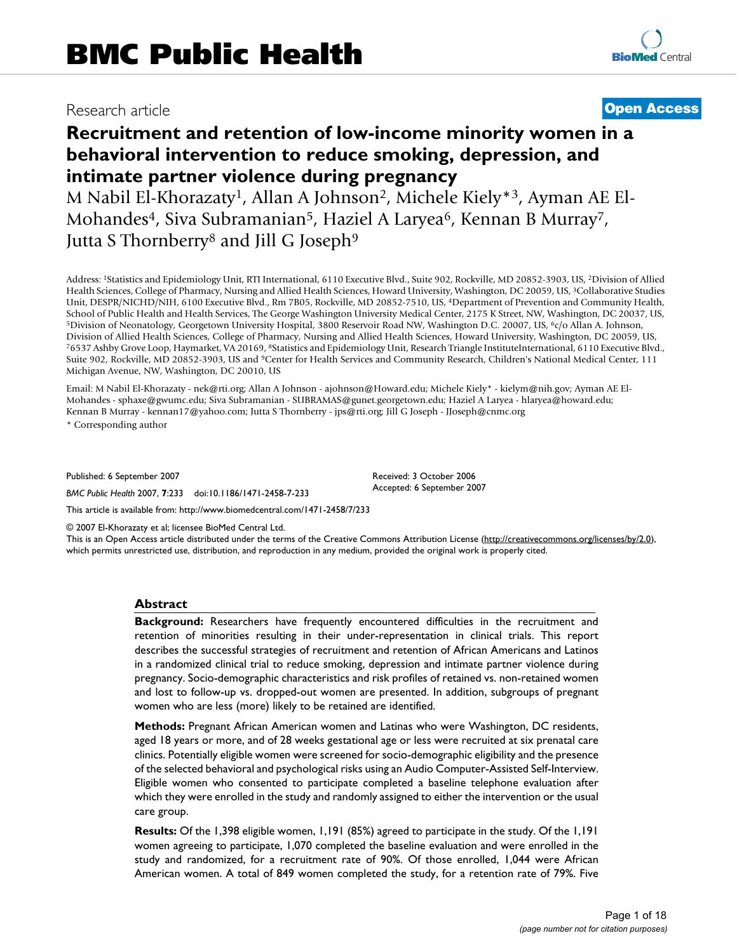# Research article **[Open Access](http://www.biomedcentral.com/info/about/charter/)**

# **Recruitment and retention of low-income minority women in a behavioral intervention to reduce smoking, depression, and intimate partner violence during pregnancy**

M Nabil El-Khorazaty1, Allan A Johnson2, Michele Kiely\*3, Ayman AE El-Mohandes<sup>4</sup>, Siva Subramanian<sup>5</sup>, Haziel A Laryea<sup>6</sup>, Kennan B Murray<sup>7</sup>, Jutta S Thornberry<sup>8</sup> and Jill G Joseph<sup>9</sup>

Address: 1Statistics and Epidemiology Unit, RTI International, 6110 Executive Blvd., Suite 902, Rockville, MD 20852-3903, US, 2Division of Allied Health Sciences, College of Pharmacy, Nursing and Allied Health Sciences, Howard University, Washington, DC 20059, US, 3Collaborative Studies Unit, DESPR/NICHD/NIH, 6100 Executive Blvd., Rm 7B05, Rockville, MD 20852-7510, US, 4Department of Prevention and Community Health, School of Public Health and Health Services, The George Washington University Medical Center, 2175 K Street, NW, Washington, DC 20037, US, 5 Division of Neonatology, Georgetown University Hospital, 3800 Reservoir Road NW, 76537 Ashby Grove Loop, Haymarket, VA 20169, <sup>8</sup>Statistics and Epidemiology Unit, Research Triangle InstituteInternational, 6110 Executive Blvd., Suite 902, Rockville, MD 20852-3903, US and 9Center for Health Services and Community Research, Children's National Medical Center, 111 Michigan Avenue, NW, Washington, DC 20010, US

Email: M Nabil El-Khorazaty - nek@rti.org; Allan A Johnson - ajohnson@Howard.edu; Michele Kiely\* - kielym@nih.gov; Ayman AE El-Mohandes - sphaxe@gwumc.edu; Siva Subramanian - SUBRAMAS@gunet.georgetown.edu; Haziel A Laryea - hlaryea@howard.edu; Kennan B Murray - kennan17@yahoo.com; Jutta S Thornberry - jps@rti.org; Jill G Joseph - JJoseph@cnmc.org \* Corresponding author

Published: 6 September 2007

*BMC Public Health* 2007, **7**:233 doi:10.1186/1471-2458-7-233

Received: 3 October 2006 Accepted: 6 September 2007

[This article is available from: http://www.biomedcentral.com/1471-2458/7/233](http://www.biomedcentral.com/1471-2458/7/233)

© 2007 El-Khorazaty et al; licensee BioMed Central Ltd.

This is an Open Access article distributed under the terms of the Creative Commons Attribution License [\(http://creativecommons.org/licenses/by/2.0\)](http://creativecommons.org/licenses/by/2.0), which permits unrestricted use, distribution, and reproduction in any medium, provided the original work is properly cited.

#### **Abstract**

**Background:** Researchers have frequently encountered difficulties in the recruitment and retention of minorities resulting in their under-representation in clinical trials. This report describes the successful strategies of recruitment and retention of African Americans and Latinos in a randomized clinical trial to reduce smoking, depression and intimate partner violence during pregnancy. Socio-demographic characteristics and risk profiles of retained vs. non-retained women and lost to follow-up vs. dropped-out women are presented. In addition, subgroups of pregnant women who are less (more) likely to be retained are identified.

**Methods:** Pregnant African American women and Latinas who were Washington, DC residents, aged 18 years or more, and of 28 weeks gestational age or less were recruited at six prenatal care clinics. Potentially eligible women were screened for socio-demographic eligibility and the presence of the selected behavioral and psychological risks using an Audio Computer-Assisted Self-Interview. Eligible women who consented to participate completed a baseline telephone evaluation after which they were enrolled in the study and randomly assigned to either the intervention or the usual care group.

**Results:** Of the 1,398 eligible women, 1,191 (85%) agreed to participate in the study. Of the 1,191 women agreeing to participate, 1,070 completed the baseline evaluation and were enrolled in the study and randomized, for a recruitment rate of 90%. Of those enrolled, 1,044 were African American women. A total of 849 women completed the study, for a retention rate of 79%. Five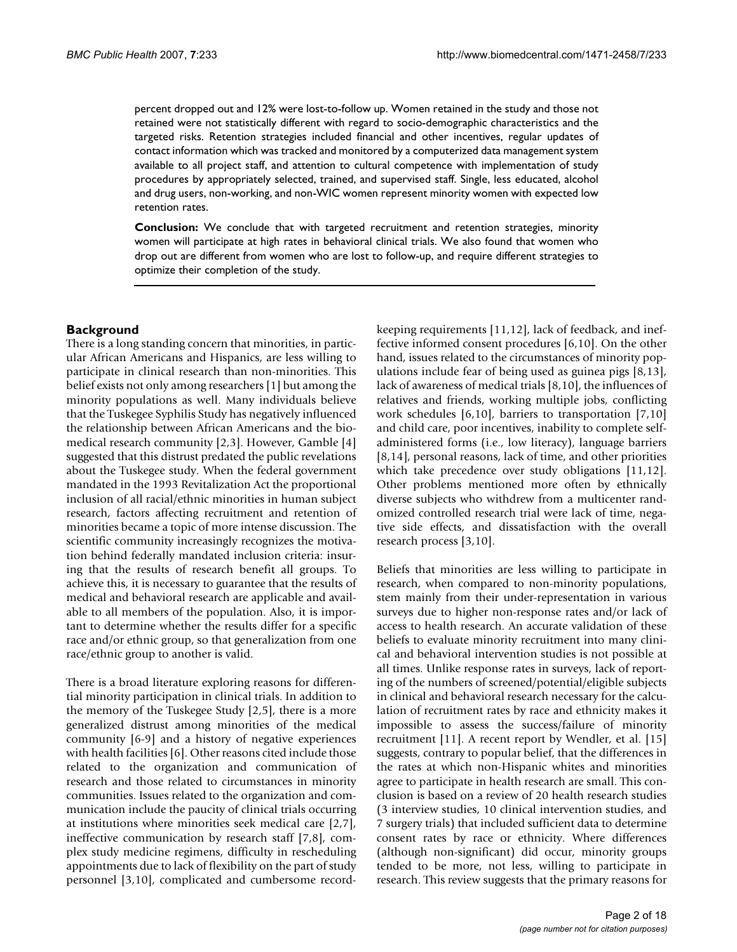percent dropped out and 12% were lost-to-follow up. Women retained in the study and those not retained were not statistically different with regard to socio-demographic characteristics and the targeted risks. Retention strategies included financial and other incentives, regular updates of contact information which was tracked and monitored by a computerized data management system available to all project staff, and attention to cultural competence with implementation of study procedures by appropriately selected, trained, and supervised staff. Single, less educated, alcohol and drug users, non-working, and non-WIC women represent minority women with expected low retention rates.

**Conclusion:** We conclude that with targeted recruitment and retention strategies, minority women will participate at high rates in behavioral clinical trials. We also found that women who drop out are different from women who are lost to follow-up, and require different strategies to optimize their completion of the study.

#### **Background**

There is a long standing concern that minorities, in particular African Americans and Hispanics, are less willing to participate in clinical research than non-minorities. This belief exists not only among researchers [1] but among the minority populations as well. Many individuals believe that the Tuskegee Syphilis Study has negatively influenced the relationship between African Americans and the biomedical research community [2,3]. However, Gamble [4] suggested that this distrust predated the public revelations about the Tuskegee study. When the federal government mandated in the 1993 Revitalization Act the proportional inclusion of all racial/ethnic minorities in human subject research, factors affecting recruitment and retention of minorities became a topic of more intense discussion. The scientific community increasingly recognizes the motivation behind federally mandated inclusion criteria: insuring that the results of research benefit all groups. To achieve this, it is necessary to guarantee that the results of medical and behavioral research are applicable and available to all members of the population. Also, it is important to determine whether the results differ for a specific race and/or ethnic group, so that generalization from one race/ethnic group to another is valid.

There is a broad literature exploring reasons for differential minority participation in clinical trials. In addition to the memory of the Tuskegee Study [2,5], there is a more generalized distrust among minorities of the medical community [6-9] and a history of negative experiences with health facilities [6]. Other reasons cited include those related to the organization and communication of research and those related to circumstances in minority communities. Issues related to the organization and communication include the paucity of clinical trials occurring at institutions where minorities seek medical care [2,7], ineffective communication by research staff [7,8], complex study medicine regimens, difficulty in rescheduling appointments due to lack of flexibility on the part of study personnel [3,10], complicated and cumbersome recordkeeping requirements [11,12], lack of feedback, and ineffective informed consent procedures [6,10]. On the other hand, issues related to the circumstances of minority populations include fear of being used as guinea pigs [8,13], lack of awareness of medical trials [8,10], the influences of relatives and friends, working multiple jobs, conflicting work schedules [6,10], barriers to transportation [7,10] and child care, poor incentives, inability to complete selfadministered forms (i.e., low literacy), language barriers [8,14], personal reasons, lack of time, and other priorities which take precedence over study obligations [11,12]. Other problems mentioned more often by ethnically diverse subjects who withdrew from a multicenter randomized controlled research trial were lack of time, negative side effects, and dissatisfaction with the overall research process [3,10].

Beliefs that minorities are less willing to participate in research, when compared to non-minority populations, stem mainly from their under-representation in various surveys due to higher non-response rates and/or lack of access to health research. An accurate validation of these beliefs to evaluate minority recruitment into many clinical and behavioral intervention studies is not possible at all times. Unlike response rates in surveys, lack of reporting of the numbers of screened/potential/eligible subjects in clinical and behavioral research necessary for the calculation of recruitment rates by race and ethnicity makes it impossible to assess the success/failure of minority recruitment [11]. A recent report by Wendler, et al. [15] suggests, contrary to popular belief, that the differences in the rates at which non-Hispanic whites and minorities agree to participate in health research are small. This conclusion is based on a review of 20 health research studies (3 interview studies, 10 clinical intervention studies, and 7 surgery trials) that included sufficient data to determine consent rates by race or ethnicity. Where differences (although non-significant) did occur, minority groups tended to be more, not less, willing to participate in research. This review suggests that the primary reasons for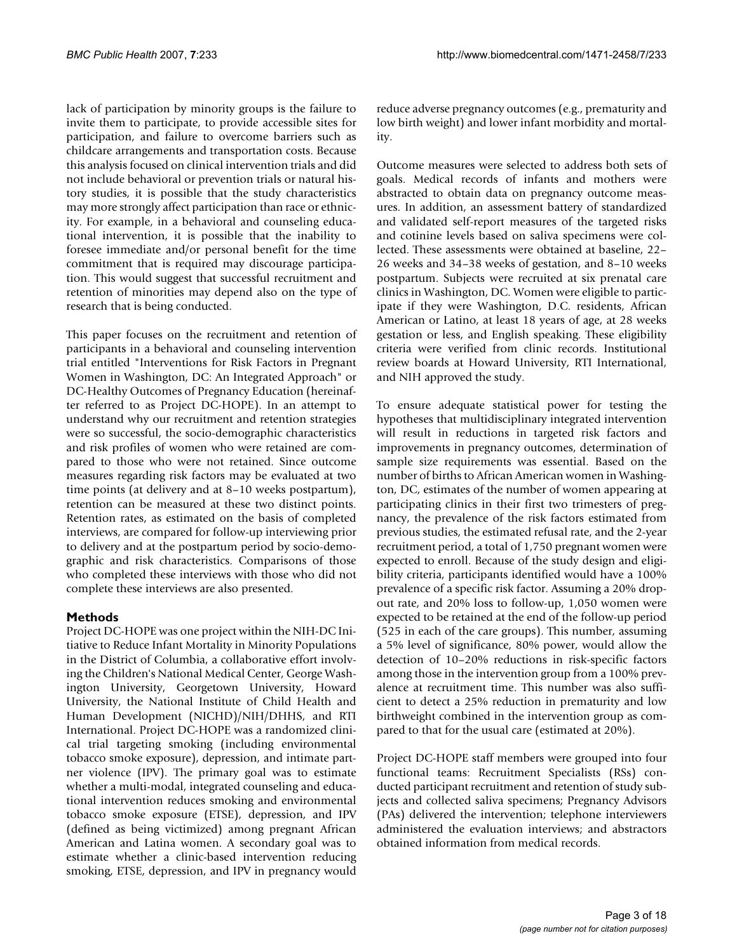lack of participation by minority groups is the failure to invite them to participate, to provide accessible sites for participation, and failure to overcome barriers such as childcare arrangements and transportation costs. Because this analysis focused on clinical intervention trials and did not include behavioral or prevention trials or natural history studies, it is possible that the study characteristics may more strongly affect participation than race or ethnicity. For example, in a behavioral and counseling educational intervention, it is possible that the inability to foresee immediate and/or personal benefit for the time commitment that is required may discourage participation. This would suggest that successful recruitment and retention of minorities may depend also on the type of research that is being conducted.

This paper focuses on the recruitment and retention of participants in a behavioral and counseling intervention trial entitled "Interventions for Risk Factors in Pregnant Women in Washington, DC: An Integrated Approach" or DC-Healthy Outcomes of Pregnancy Education (hereinafter referred to as Project DC-HOPE). In an attempt to understand why our recruitment and retention strategies were so successful, the socio-demographic characteristics and risk profiles of women who were retained are compared to those who were not retained. Since outcome measures regarding risk factors may be evaluated at two time points (at delivery and at 8–10 weeks postpartum), retention can be measured at these two distinct points. Retention rates, as estimated on the basis of completed interviews, are compared for follow-up interviewing prior to delivery and at the postpartum period by socio-demographic and risk characteristics. Comparisons of those who completed these interviews with those who did not complete these interviews are also presented.

# **Methods**

Project DC-HOPE was one project within the NIH-DC Initiative to Reduce Infant Mortality in Minority Populations in the District of Columbia, a collaborative effort involving the Children's National Medical Center, George Washington University, Georgetown University, Howard University, the National Institute of Child Health and Human Development (NICHD)/NIH/DHHS, and RTI International. Project DC-HOPE was a randomized clinical trial targeting smoking (including environmental tobacco smoke exposure), depression, and intimate partner violence (IPV). The primary goal was to estimate whether a multi-modal, integrated counseling and educational intervention reduces smoking and environmental tobacco smoke exposure (ETSE), depression, and IPV (defined as being victimized) among pregnant African American and Latina women. A secondary goal was to estimate whether a clinic-based intervention reducing smoking, ETSE, depression, and IPV in pregnancy would reduce adverse pregnancy outcomes (e.g., prematurity and low birth weight) and lower infant morbidity and mortality.

Outcome measures were selected to address both sets of goals. Medical records of infants and mothers were abstracted to obtain data on pregnancy outcome measures. In addition, an assessment battery of standardized and validated self-report measures of the targeted risks and cotinine levels based on saliva specimens were collected. These assessments were obtained at baseline, 22– 26 weeks and 34–38 weeks of gestation, and 8–10 weeks postpartum. Subjects were recruited at six prenatal care clinics in Washington, DC. Women were eligible to participate if they were Washington, D.C. residents, African American or Latino, at least 18 years of age, at 28 weeks gestation or less, and English speaking. These eligibility criteria were verified from clinic records. Institutional review boards at Howard University, RTI International, and NIH approved the study.

To ensure adequate statistical power for testing the hypotheses that multidisciplinary integrated intervention will result in reductions in targeted risk factors and improvements in pregnancy outcomes, determination of sample size requirements was essential. Based on the number of births to African American women in Washington, DC, estimates of the number of women appearing at participating clinics in their first two trimesters of pregnancy, the prevalence of the risk factors estimated from previous studies, the estimated refusal rate, and the 2-year recruitment period, a total of 1,750 pregnant women were expected to enroll. Because of the study design and eligibility criteria, participants identified would have a 100% prevalence of a specific risk factor. Assuming a 20% dropout rate, and 20% loss to follow-up, 1,050 women were expected to be retained at the end of the follow-up period (525 in each of the care groups). This number, assuming a 5% level of significance, 80% power, would allow the detection of 10–20% reductions in risk-specific factors among those in the intervention group from a 100% prevalence at recruitment time. This number was also sufficient to detect a 25% reduction in prematurity and low birthweight combined in the intervention group as compared to that for the usual care (estimated at 20%).

Project DC-HOPE staff members were grouped into four functional teams: Recruitment Specialists (RSs) conducted participant recruitment and retention of study subjects and collected saliva specimens; Pregnancy Advisors (PAs) delivered the intervention; telephone interviewers administered the evaluation interviews; and abstractors obtained information from medical records.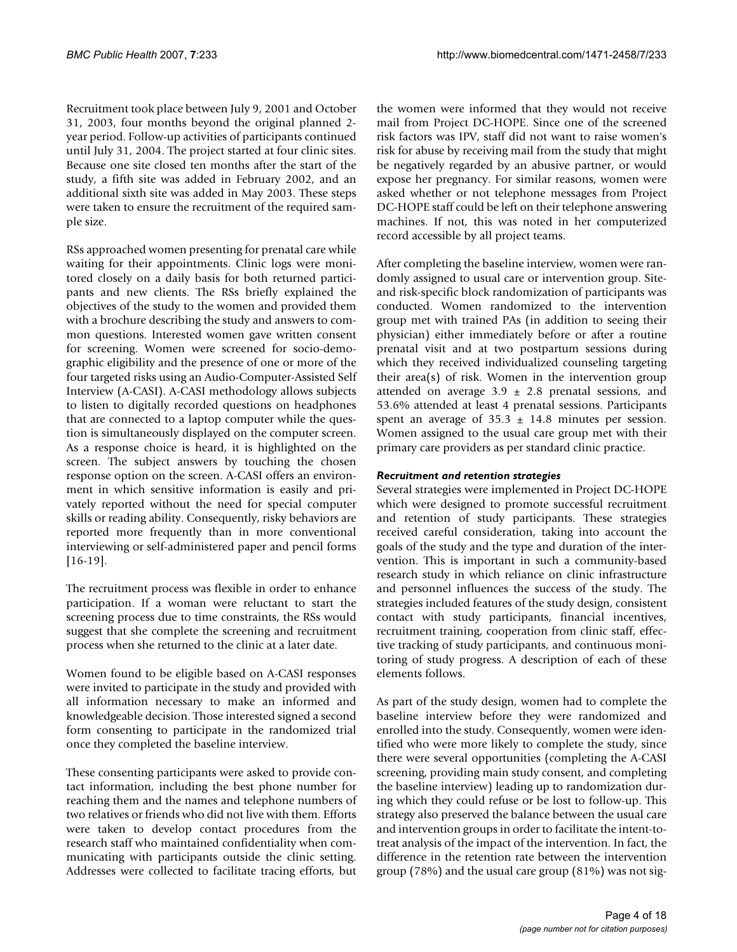Recruitment took place between July 9, 2001 and October 31, 2003, four months beyond the original planned 2 year period. Follow-up activities of participants continued until July 31, 2004. The project started at four clinic sites. Because one site closed ten months after the start of the study, a fifth site was added in February 2002, and an additional sixth site was added in May 2003. These steps were taken to ensure the recruitment of the required sample size.

RSs approached women presenting for prenatal care while waiting for their appointments. Clinic logs were monitored closely on a daily basis for both returned participants and new clients. The RSs briefly explained the objectives of the study to the women and provided them with a brochure describing the study and answers to common questions. Interested women gave written consent for screening. Women were screened for socio-demographic eligibility and the presence of one or more of the four targeted risks using an Audio-Computer-Assisted Self Interview (A-CASI). A-CASI methodology allows subjects to listen to digitally recorded questions on headphones that are connected to a laptop computer while the question is simultaneously displayed on the computer screen. As a response choice is heard, it is highlighted on the screen. The subject answers by touching the chosen response option on the screen. A-CASI offers an environment in which sensitive information is easily and privately reported without the need for special computer skills or reading ability. Consequently, risky behaviors are reported more frequently than in more conventional interviewing or self-administered paper and pencil forms [16-19].

The recruitment process was flexible in order to enhance participation. If a woman were reluctant to start the screening process due to time constraints, the RSs would suggest that she complete the screening and recruitment process when she returned to the clinic at a later date.

Women found to be eligible based on A-CASI responses were invited to participate in the study and provided with all information necessary to make an informed and knowledgeable decision. Those interested signed a second form consenting to participate in the randomized trial once they completed the baseline interview.

These consenting participants were asked to provide contact information, including the best phone number for reaching them and the names and telephone numbers of two relatives or friends who did not live with them. Efforts were taken to develop contact procedures from the research staff who maintained confidentiality when communicating with participants outside the clinic setting. Addresses were collected to facilitate tracing efforts, but the women were informed that they would not receive mail from Project DC-HOPE. Since one of the screened risk factors was IPV, staff did not want to raise women's risk for abuse by receiving mail from the study that might be negatively regarded by an abusive partner, or would expose her pregnancy. For similar reasons, women were asked whether or not telephone messages from Project DC-HOPE staff could be left on their telephone answering machines. If not, this was noted in her computerized record accessible by all project teams.

After completing the baseline interview, women were randomly assigned to usual care or intervention group. Siteand risk-specific block randomization of participants was conducted. Women randomized to the intervention group met with trained PAs (in addition to seeing their physician) either immediately before or after a routine prenatal visit and at two postpartum sessions during which they received individualized counseling targeting their area(s) of risk. Women in the intervention group attended on average  $3.9 \pm 2.8$  prenatal sessions, and 53.6% attended at least 4 prenatal sessions. Participants spent an average of  $35.3 \pm 14.8$  minutes per session. Women assigned to the usual care group met with their primary care providers as per standard clinic practice.

## *Recruitment and retention strategies*

Several strategies were implemented in Project DC-HOPE which were designed to promote successful recruitment and retention of study participants. These strategies received careful consideration, taking into account the goals of the study and the type and duration of the intervention. This is important in such a community-based research study in which reliance on clinic infrastructure and personnel influences the success of the study. The strategies included features of the study design, consistent contact with study participants, financial incentives, recruitment training, cooperation from clinic staff, effective tracking of study participants, and continuous monitoring of study progress. A description of each of these elements follows.

As part of the study design, women had to complete the baseline interview before they were randomized and enrolled into the study. Consequently, women were identified who were more likely to complete the study, since there were several opportunities (completing the A-CASI screening, providing main study consent, and completing the baseline interview) leading up to randomization during which they could refuse or be lost to follow-up. This strategy also preserved the balance between the usual care and intervention groups in order to facilitate the intent-totreat analysis of the impact of the intervention. In fact, the difference in the retention rate between the intervention group (78%) and the usual care group (81%) was not sig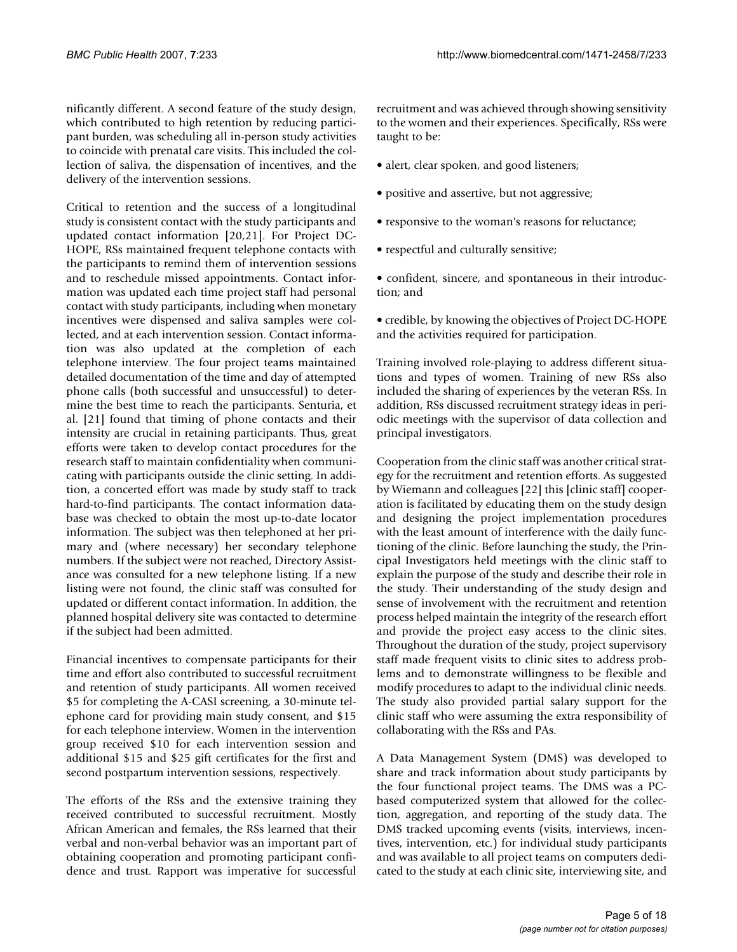nificantly different. A second feature of the study design, which contributed to high retention by reducing participant burden, was scheduling all in-person study activities to coincide with prenatal care visits. This included the collection of saliva, the dispensation of incentives, and the delivery of the intervention sessions.

Critical to retention and the success of a longitudinal study is consistent contact with the study participants and updated contact information [20,21]. For Project DC-HOPE, RSs maintained frequent telephone contacts with the participants to remind them of intervention sessions and to reschedule missed appointments. Contact information was updated each time project staff had personal contact with study participants, including when monetary incentives were dispensed and saliva samples were collected, and at each intervention session. Contact information was also updated at the completion of each telephone interview. The four project teams maintained detailed documentation of the time and day of attempted phone calls (both successful and unsuccessful) to determine the best time to reach the participants. Senturia, et al. [21] found that timing of phone contacts and their intensity are crucial in retaining participants. Thus, great efforts were taken to develop contact procedures for the research staff to maintain confidentiality when communicating with participants outside the clinic setting. In addition, a concerted effort was made by study staff to track hard-to-find participants. The contact information database was checked to obtain the most up-to-date locator information. The subject was then telephoned at her primary and (where necessary) her secondary telephone numbers. If the subject were not reached, Directory Assistance was consulted for a new telephone listing. If a new listing were not found, the clinic staff was consulted for updated or different contact information. In addition, the planned hospital delivery site was contacted to determine if the subject had been admitted.

Financial incentives to compensate participants for their time and effort also contributed to successful recruitment and retention of study participants. All women received \$5 for completing the A-CASI screening, a 30-minute telephone card for providing main study consent, and \$15 for each telephone interview. Women in the intervention group received \$10 for each intervention session and additional \$15 and \$25 gift certificates for the first and second postpartum intervention sessions, respectively.

The efforts of the RSs and the extensive training they received contributed to successful recruitment. Mostly African American and females, the RSs learned that their verbal and non-verbal behavior was an important part of obtaining cooperation and promoting participant confidence and trust. Rapport was imperative for successful

recruitment and was achieved through showing sensitivity to the women and their experiences. Specifically, RSs were taught to be:

- alert, clear spoken, and good listeners;
- positive and assertive, but not aggressive;
- responsive to the woman's reasons for reluctance;
- respectful and culturally sensitive;

• confident, sincere, and spontaneous in their introduction; and

• credible, by knowing the objectives of Project DC-HOPE and the activities required for participation.

Training involved role-playing to address different situations and types of women. Training of new RSs also included the sharing of experiences by the veteran RSs. In addition, RSs discussed recruitment strategy ideas in periodic meetings with the supervisor of data collection and principal investigators.

Cooperation from the clinic staff was another critical strategy for the recruitment and retention efforts. As suggested by Wiemann and colleagues [22] this [clinic staff] cooperation is facilitated by educating them on the study design and designing the project implementation procedures with the least amount of interference with the daily functioning of the clinic. Before launching the study, the Principal Investigators held meetings with the clinic staff to explain the purpose of the study and describe their role in the study. Their understanding of the study design and sense of involvement with the recruitment and retention process helped maintain the integrity of the research effort and provide the project easy access to the clinic sites. Throughout the duration of the study, project supervisory staff made frequent visits to clinic sites to address problems and to demonstrate willingness to be flexible and modify procedures to adapt to the individual clinic needs. The study also provided partial salary support for the clinic staff who were assuming the extra responsibility of collaborating with the RSs and PAs.

A Data Management System (DMS) was developed to share and track information about study participants by the four functional project teams. The DMS was a PCbased computerized system that allowed for the collection, aggregation, and reporting of the study data. The DMS tracked upcoming events (visits, interviews, incentives, intervention, etc.) for individual study participants and was available to all project teams on computers dedicated to the study at each clinic site, interviewing site, and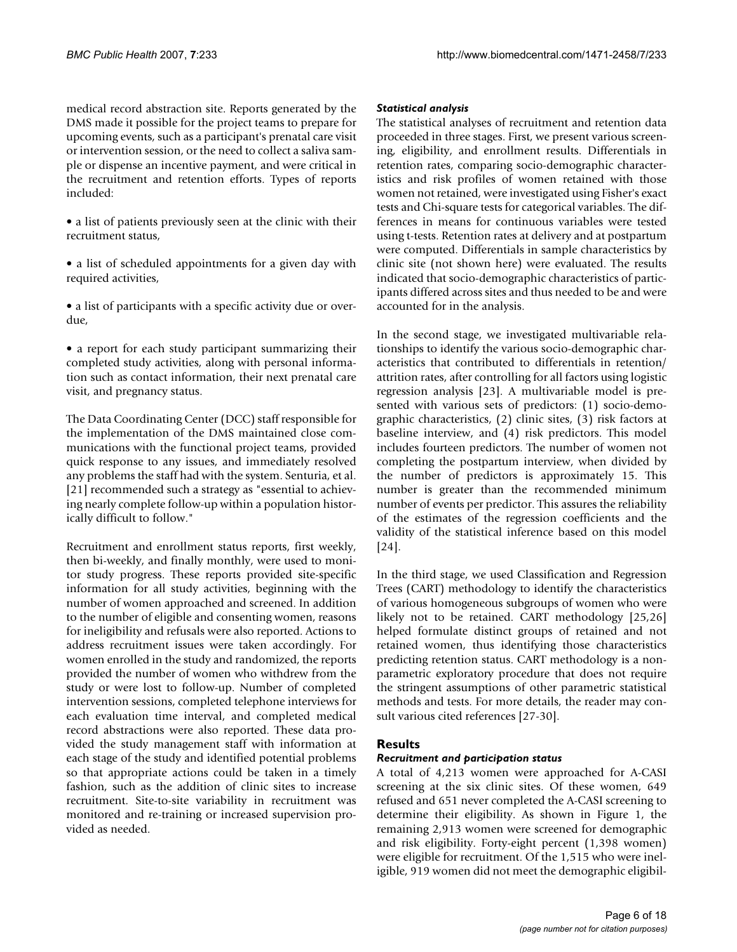medical record abstraction site. Reports generated by the DMS made it possible for the project teams to prepare for upcoming events, such as a participant's prenatal care visit or intervention session, or the need to collect a saliva sample or dispense an incentive payment, and were critical in the recruitment and retention efforts. Types of reports included:

• a list of patients previously seen at the clinic with their recruitment status,

- a list of scheduled appointments for a given day with required activities,
- a list of participants with a specific activity due or overdue,

• a report for each study participant summarizing their completed study activities, along with personal information such as contact information, their next prenatal care visit, and pregnancy status.

The Data Coordinating Center (DCC) staff responsible for the implementation of the DMS maintained close communications with the functional project teams, provided quick response to any issues, and immediately resolved any problems the staff had with the system. Senturia, et al. [21] recommended such a strategy as "essential to achieving nearly complete follow-up within a population historically difficult to follow."

Recruitment and enrollment status reports, first weekly, then bi-weekly, and finally monthly, were used to monitor study progress. These reports provided site-specific information for all study activities, beginning with the number of women approached and screened. In addition to the number of eligible and consenting women, reasons for ineligibility and refusals were also reported. Actions to address recruitment issues were taken accordingly. For women enrolled in the study and randomized, the reports provided the number of women who withdrew from the study or were lost to follow-up. Number of completed intervention sessions, completed telephone interviews for each evaluation time interval, and completed medical record abstractions were also reported. These data provided the study management staff with information at each stage of the study and identified potential problems so that appropriate actions could be taken in a timely fashion, such as the addition of clinic sites to increase recruitment. Site-to-site variability in recruitment was monitored and re-training or increased supervision provided as needed.

#### *Statistical analysis*

The statistical analyses of recruitment and retention data proceeded in three stages. First, we present various screening, eligibility, and enrollment results. Differentials in retention rates, comparing socio-demographic characteristics and risk profiles of women retained with those women not retained, were investigated using Fisher's exact tests and Chi-square tests for categorical variables. The differences in means for continuous variables were tested using t-tests. Retention rates at delivery and at postpartum were computed. Differentials in sample characteristics by clinic site (not shown here) were evaluated. The results indicated that socio-demographic characteristics of participants differed across sites and thus needed to be and were accounted for in the analysis.

In the second stage, we investigated multivariable relationships to identify the various socio-demographic characteristics that contributed to differentials in retention/ attrition rates, after controlling for all factors using logistic regression analysis [23]. A multivariable model is presented with various sets of predictors: (1) socio-demographic characteristics, (2) clinic sites, (3) risk factors at baseline interview, and (4) risk predictors. This model includes fourteen predictors. The number of women not completing the postpartum interview, when divided by the number of predictors is approximately 15. This number is greater than the recommended minimum number of events per predictor. This assures the reliability of the estimates of the regression coefficients and the validity of the statistical inference based on this model [24].

In the third stage, we used Classification and Regression Trees (CART) methodology to identify the characteristics of various homogeneous subgroups of women who were likely not to be retained. CART methodology [25,26] helped formulate distinct groups of retained and not retained women, thus identifying those characteristics predicting retention status. CART methodology is a nonparametric exploratory procedure that does not require the stringent assumptions of other parametric statistical methods and tests. For more details, the reader may consult various cited references [27-30].

#### **Results**

#### *Recruitment and participation status*

A total of 4,213 women were approached for A-CASI screening at the six clinic sites. Of these women, 649 refused and 651 never completed the A-CASI screening to determine their eligibility. As shown in Figure 1, the remaining 2,913 women were screened for demographic and risk eligibility. Forty-eight percent (1,398 women) were eligible for recruitment. Of the 1,515 who were ineligible, 919 women did not meet the demographic eligibil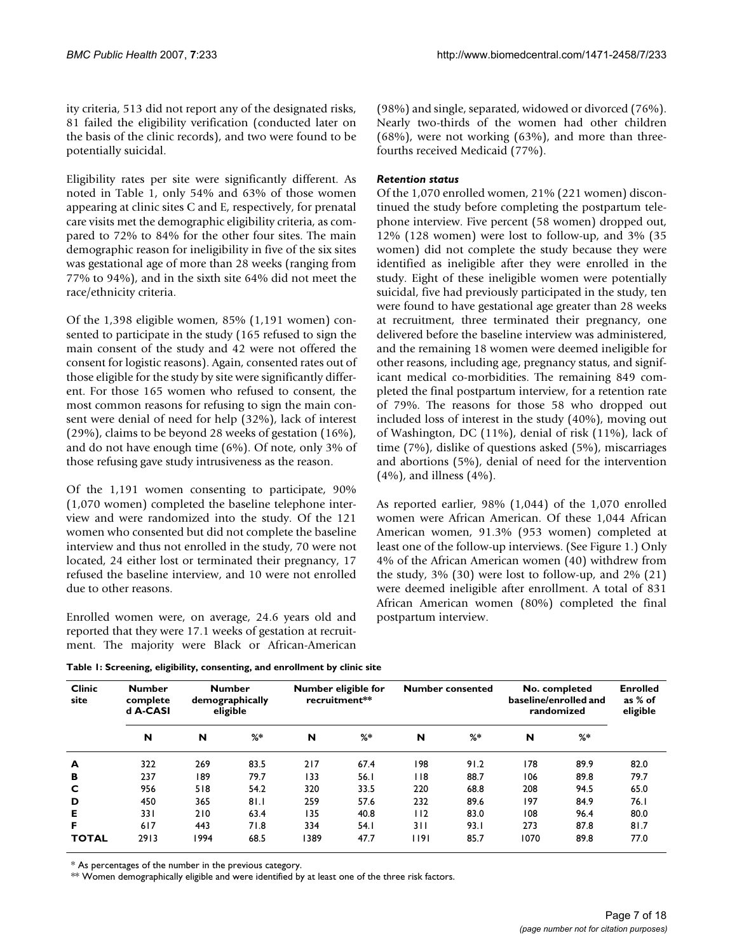ity criteria, 513 did not report any of the designated risks, 81 failed the eligibility verification (conducted later on the basis of the clinic records), and two were found to be potentially suicidal.

Eligibility rates per site were significantly different. As noted in Table 1, only 54% and 63% of those women appearing at clinic sites C and E, respectively, for prenatal care visits met the demographic eligibility criteria, as compared to 72% to 84% for the other four sites. The main demographic reason for ineligibility in five of the six sites was gestational age of more than 28 weeks (ranging from 77% to 94%), and in the sixth site 64% did not meet the race/ethnicity criteria.

Of the 1,398 eligible women, 85% (1,191 women) consented to participate in the study (165 refused to sign the main consent of the study and 42 were not offered the consent for logistic reasons). Again, consented rates out of those eligible for the study by site were significantly different. For those 165 women who refused to consent, the most common reasons for refusing to sign the main consent were denial of need for help (32%), lack of interest (29%), claims to be beyond 28 weeks of gestation (16%), and do not have enough time (6%). Of note, only 3% of those refusing gave study intrusiveness as the reason.

Of the 1,191 women consenting to participate, 90% (1,070 women) completed the baseline telephone interview and were randomized into the study. Of the 121 women who consented but did not complete the baseline interview and thus not enrolled in the study, 70 were not located, 24 either lost or terminated their pregnancy, 17 refused the baseline interview, and 10 were not enrolled due to other reasons.

Enrolled women were, on average, 24.6 years old and reported that they were 17.1 weeks of gestation at recruitment. The majority were Black or African-American (98%) and single, separated, widowed or divorced (76%). Nearly two-thirds of the women had other children (68%), were not working (63%), and more than threefourths received Medicaid (77%).

## *Retention status*

Of the 1,070 enrolled women, 21% (221 women) discontinued the study before completing the postpartum telephone interview. Five percent (58 women) dropped out, 12% (128 women) were lost to follow-up, and 3% (35 women) did not complete the study because they were identified as ineligible after they were enrolled in the study. Eight of these ineligible women were potentially suicidal, five had previously participated in the study, ten were found to have gestational age greater than 28 weeks at recruitment, three terminated their pregnancy, one delivered before the baseline interview was administered, and the remaining 18 women were deemed ineligible for other reasons, including age, pregnancy status, and significant medical co-morbidities. The remaining 849 completed the final postpartum interview, for a retention rate of 79%. The reasons for those 58 who dropped out included loss of interest in the study (40%), moving out of Washington, DC (11%), denial of risk (11%), lack of time (7%), dislike of questions asked (5%), miscarriages and abortions (5%), denial of need for the intervention (4%), and illness (4%).

As reported earlier, 98% (1,044) of the 1,070 enrolled women were African American. Of these 1,044 African American women, 91.3% (953 women) completed at least one of the follow-up interviews. (See Figure 1.) Only 4% of the African American women (40) withdrew from the study, 3% (30) were lost to follow-up, and 2% (21) were deemed ineligible after enrollment. A total of 831 African American women (80%) completed the final postpartum interview.

**Table 1: Screening, eligibility, consenting, and enrollment by clinic site**

| <b>Clinic</b><br>site | <b>Number</b><br>complete<br>d A-CASI | <b>Number</b><br>demographically<br>eligible |      | Number eligible for<br>recruitment** |       | <b>Number consented</b> |       | No. completed<br>baseline/enrolled and<br>randomized |       | <b>Enrolled</b><br>as % of<br>eligible |
|-----------------------|---------------------------------------|----------------------------------------------|------|--------------------------------------|-------|-------------------------|-------|------------------------------------------------------|-------|----------------------------------------|
|                       | N                                     | N                                            | %*   | N                                    | $%$ * | N                       | $%$ * | N                                                    | $%$ * |                                        |
| A                     | 322                                   | 269                                          | 83.5 | 217                                  | 67.4  | 198                     | 91.2  | 178                                                  | 89.9  | 82.0                                   |
| В                     | 237                                   | 189                                          | 79.7 | 133                                  | 56. I | <b>118</b>              | 88.7  | 106                                                  | 89.8  | 79.7                                   |
| C                     | 956                                   | 518                                          | 54.2 | 320                                  | 33.5  | 220                     | 68.8  | 208                                                  | 94.5  | 65.0                                   |
| D                     | 450                                   | 365                                          | 81.1 | 259                                  | 57.6  | 232                     | 89.6  | 197                                                  | 84.9  | 76.I                                   |
| Е                     | 331                                   | 210                                          | 63.4 | 135                                  | 40.8  | 112                     | 83.0  | 108                                                  | 96.4  | 80.0                                   |
| F.                    | 617                                   | 443                                          | 71.8 | 334                                  | 54.I  | 3 I I                   | 93.1  | 273                                                  | 87.8  | 81.7                                   |
| <b>TOTAL</b>          | 2913                                  | 1994                                         | 68.5 | 389                                  | 47.7  | 1191                    | 85.7  | 1070                                                 | 89.8  | 77.0                                   |

\* As percentages of the number in the previous category.

\*\* Women demographically eligible and were identified by at least one of the three risk factors.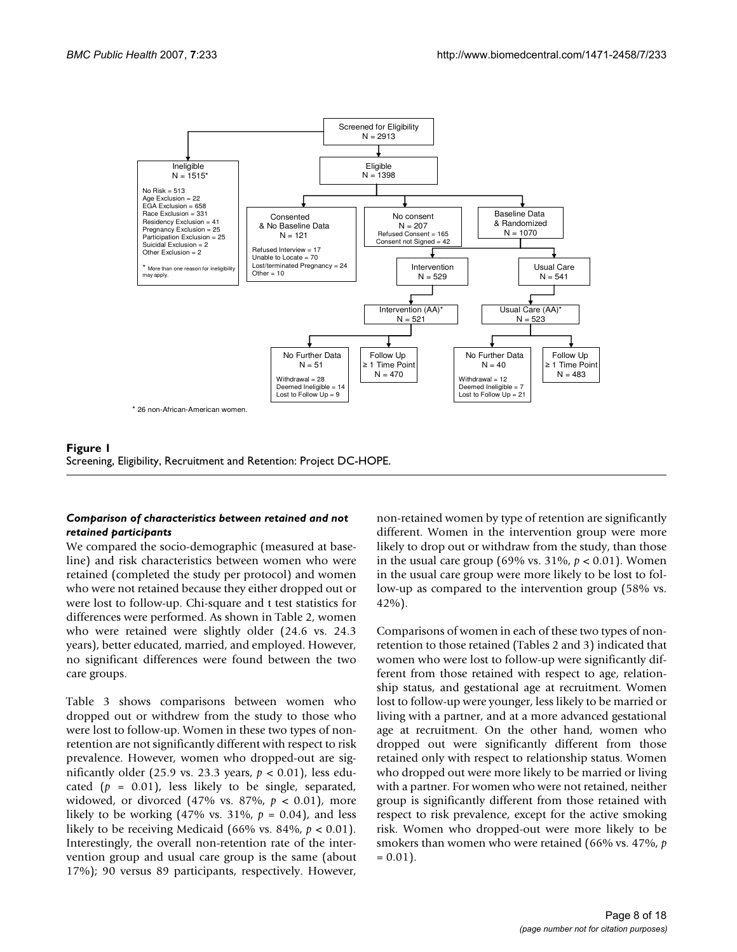

Figure 1

Screening, Eligibility, Recruitment and Retention: Project DC-HOPE.

#### *Comparison of characteristics between retained and not retained participants*

We compared the socio-demographic (measured at baseline) and risk characteristics between women who were retained (completed the study per protocol) and women who were not retained because they either dropped out or were lost to follow-up. Chi-square and t test statistics for differences were performed. As shown in Table 2, women who were retained were slightly older (24.6 vs. 24.3 years), better educated, married, and employed. However, no significant differences were found between the two care groups.

Table 3 shows comparisons between women who dropped out or withdrew from the study to those who were lost to follow-up. Women in these two types of nonretention are not significantly different with respect to risk prevalence. However, women who dropped-out are significantly older (25.9 vs. 23.3 years, *p* < 0.01), less educated  $(p = 0.01)$ , less likely to be single, separated, widowed, or divorced (47% vs. 87%, *p* < 0.01), more likely to be working  $(47\% \text{ vs. } 31\%, p = 0.04)$ , and less likely to be receiving Medicaid (66% vs. 84%, *p* < 0.01). Interestingly, the overall non-retention rate of the intervention group and usual care group is the same (about 17%); 90 versus 89 participants, respectively. However,

non-retained women by type of retention are significantly different. Women in the intervention group were more likely to drop out or withdraw from the study, than those in the usual care group (69% vs. 31%, *p* < 0.01). Women in the usual care group were more likely to be lost to follow-up as compared to the intervention group (58% vs. 42%).

Comparisons of women in each of these two types of nonretention to those retained (Tables 2 and 3) indicated that women who were lost to follow-up were significantly different from those retained with respect to age, relationship status, and gestational age at recruitment. Women lost to follow-up were younger, less likely to be married or living with a partner, and at a more advanced gestational age at recruitment. On the other hand, women who dropped out were significantly different from those retained only with respect to relationship status. Women who dropped out were more likely to be married or living with a partner. For women who were not retained, neither group is significantly different from those retained with respect to risk prevalence, except for the active smoking risk. Women who dropped-out were more likely to be smokers than women who were retained (66% vs. 47%, *p*  $= 0.01$ ).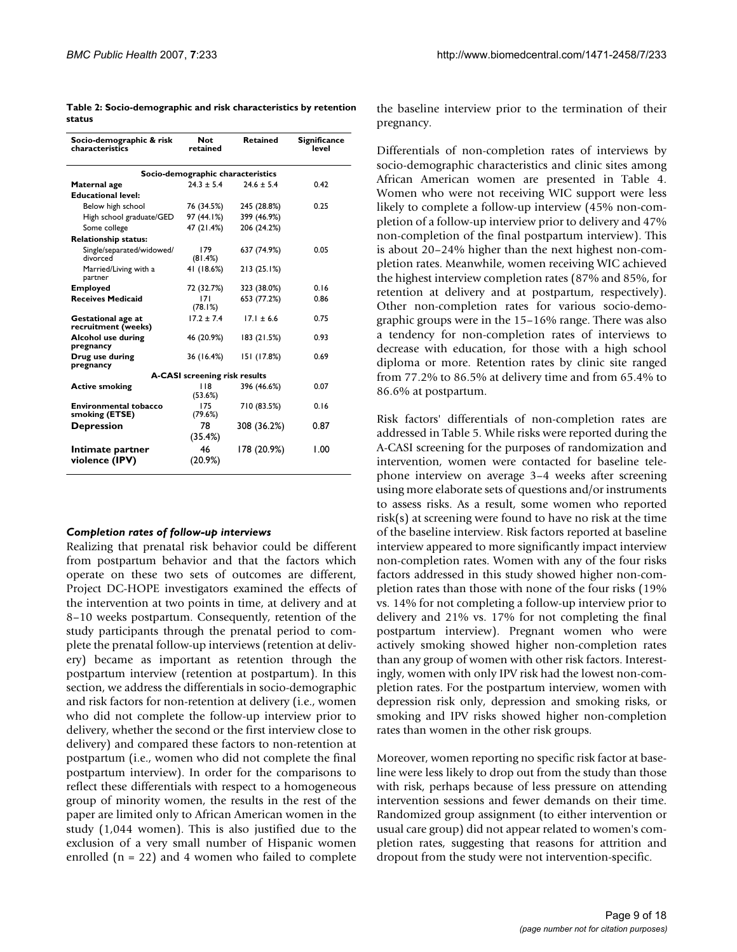|        | Table 2: Socio-demographic and risk characteristics by retention |
|--------|------------------------------------------------------------------|
| status |                                                                  |

| Socio-demographic & risk<br>characteristics      | <b>Not</b><br>retained | <b>Retained</b> | Significance<br>level |  |  |  |
|--------------------------------------------------|------------------------|-----------------|-----------------------|--|--|--|
| Socio-demographic characteristics                |                        |                 |                       |  |  |  |
| Maternal age                                     | $24.3 \pm 5.4$         | $24.6 \pm 5.4$  | 0.42                  |  |  |  |
| <b>Educational level:</b>                        |                        |                 |                       |  |  |  |
| Below high school                                | 76 (34.5%)             | 245 (28.8%)     | 0.25                  |  |  |  |
| High school graduate/GED                         | 97 (44.1%)             | 399 (46.9%)     |                       |  |  |  |
| Some college                                     | 47 (21.4%)             | 206 (24.2%)     |                       |  |  |  |
| <b>Relationship status:</b>                      |                        |                 |                       |  |  |  |
| Single/separated/widowed/<br>divorced            | 179<br>(81.4%)         | 637 (74.9%)     | 0.05                  |  |  |  |
| Married/Living with a<br>partner                 | 41 (18.6%)             | 213 (25.1%)     |                       |  |  |  |
| <b>Employed</b>                                  | 72 (32.7%)             | 323 (38.0%)     | 0.16                  |  |  |  |
| <b>Receives Medicaid</b>                         | 171<br>(78.1%)         | 653 (77.2%)     | 0.86                  |  |  |  |
| <b>Gestational age at</b><br>recruitment (weeks) | $17.2 \pm 7.4$         | $17.1 \pm 6.6$  | 0.75                  |  |  |  |
| <b>Alcohol use during</b><br>pregnancy           | 46 (20.9%)             | 183 (21.5%)     | 0.93                  |  |  |  |
| Drug use during<br>pregnancy                     | 36 (16.4%)             | 151 (17.8%)     | 0.69                  |  |  |  |
| <b>A-CASI</b> screening risk results             |                        |                 |                       |  |  |  |
| <b>Active smoking</b>                            | 118<br>(53.6%)         | 396 (46.6%)     | 0.07                  |  |  |  |
| <b>Environmental tobacco</b><br>smoking (ETSE)   | 175<br>(79.6%)         | 710 (83.5%)     | 0.16                  |  |  |  |
| Depression                                       | 78<br>(35.4%)          | 308 (36.2%)     | 0.87                  |  |  |  |
| Intimate partner<br>violence (IPV)               | 46<br>(20.9%)          | 178 (20.9%)     | 1.00                  |  |  |  |

#### *Completion rates of follow-up interviews*

Realizing that prenatal risk behavior could be different from postpartum behavior and that the factors which operate on these two sets of outcomes are different, Project DC-HOPE investigators examined the effects of the intervention at two points in time, at delivery and at 8–10 weeks postpartum. Consequently, retention of the study participants through the prenatal period to complete the prenatal follow-up interviews (retention at delivery) became as important as retention through the postpartum interview (retention at postpartum). In this section, we address the differentials in socio-demographic and risk factors for non-retention at delivery (i.e., women who did not complete the follow-up interview prior to delivery, whether the second or the first interview close to delivery) and compared these factors to non-retention at postpartum (i.e., women who did not complete the final postpartum interview). In order for the comparisons to reflect these differentials with respect to a homogeneous group of minority women, the results in the rest of the paper are limited only to African American women in the study (1,044 women). This is also justified due to the exclusion of a very small number of Hispanic women enrolled ( $n = 22$ ) and 4 women who failed to complete the baseline interview prior to the termination of their pregnancy.

Differentials of non-completion rates of interviews by socio-demographic characteristics and clinic sites among African American women are presented in Table 4. Women who were not receiving WIC support were less likely to complete a follow-up interview (45% non-completion of a follow-up interview prior to delivery and 47% non-completion of the final postpartum interview). This is about 20–24% higher than the next highest non-completion rates. Meanwhile, women receiving WIC achieved the highest interview completion rates (87% and 85%, for retention at delivery and at postpartum, respectively). Other non-completion rates for various socio-demographic groups were in the 15–16% range. There was also a tendency for non-completion rates of interviews to decrease with education, for those with a high school diploma or more. Retention rates by clinic site ranged from 77.2% to 86.5% at delivery time and from 65.4% to 86.6% at postpartum.

Risk factors' differentials of non-completion rates are addressed in Table 5. While risks were reported during the A-CASI screening for the purposes of randomization and intervention, women were contacted for baseline telephone interview on average 3–4 weeks after screening using more elaborate sets of questions and/or instruments to assess risks. As a result, some women who reported risk(s) at screening were found to have no risk at the time of the baseline interview. Risk factors reported at baseline interview appeared to more significantly impact interview non-completion rates. Women with any of the four risks factors addressed in this study showed higher non-completion rates than those with none of the four risks (19% vs. 14% for not completing a follow-up interview prior to delivery and 21% vs. 17% for not completing the final postpartum interview). Pregnant women who were actively smoking showed higher non-completion rates than any group of women with other risk factors. Interestingly, women with only IPV risk had the lowest non-completion rates. For the postpartum interview, women with depression risk only, depression and smoking risks, or smoking and IPV risks showed higher non-completion rates than women in the other risk groups.

Moreover, women reporting no specific risk factor at baseline were less likely to drop out from the study than those with risk, perhaps because of less pressure on attending intervention sessions and fewer demands on their time. Randomized group assignment (to either intervention or usual care group) did not appear related to women's completion rates, suggesting that reasons for attrition and dropout from the study were not intervention-specific.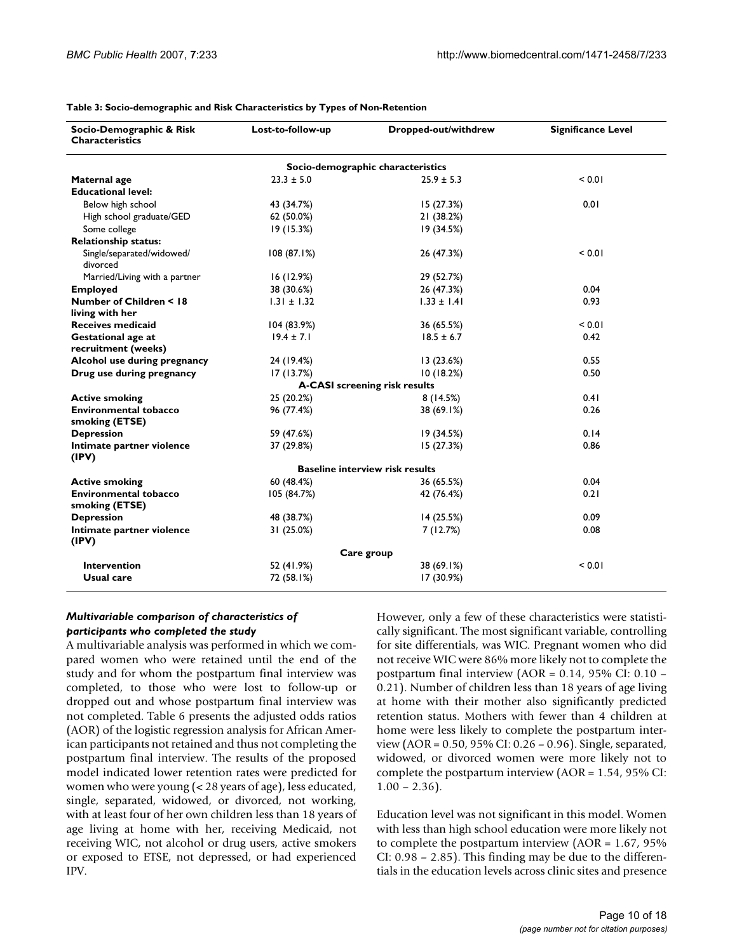| Socio-Demographic & Risk<br><b>Characteristics</b> | Lost-to-follow-up | Dropped-out/withdrew                   | <b>Significance Level</b> |  |  |  |  |
|----------------------------------------------------|-------------------|----------------------------------------|---------------------------|--|--|--|--|
|                                                    |                   | Socio-demographic characteristics      |                           |  |  |  |  |
| Maternal age                                       | $23.3 \pm 5.0$    | $25.9 \pm 5.3$                         | < 0.01                    |  |  |  |  |
| <b>Educational level:</b>                          |                   |                                        |                           |  |  |  |  |
| Below high school                                  | 43 (34.7%)        | 15(27.3%)                              | 0.01                      |  |  |  |  |
| High school graduate/GED                           | 62 (50.0%)        | 21 (38.2%)                             |                           |  |  |  |  |
| Some college                                       | 19(15.3%)         | 19(34.5%)                              |                           |  |  |  |  |
| <b>Relationship status:</b>                        |                   |                                        |                           |  |  |  |  |
| Single/separated/widowed/<br>divorced              | 108(87.1%)        | 26 (47.3%)                             | < 0.01                    |  |  |  |  |
| Married/Living with a partner                      | 16(12.9%)         | 29 (52.7%)                             |                           |  |  |  |  |
| <b>Employed</b>                                    | 38 (30.6%)        | 26 (47.3%)                             | 0.04                      |  |  |  |  |
| Number of Children < 18<br>living with her         | $1.31 \pm 1.32$   | $1.33 \pm 1.41$                        | 0.93                      |  |  |  |  |
| <b>Receives medicaid</b>                           | 104 (83.9%)       | 36 (65.5%)                             | < 0.01                    |  |  |  |  |
| <b>Gestational age at</b><br>recruitment (weeks)   | $19.4 \pm 7.1$    | $18.5 \pm 6.7$                         | 0.42                      |  |  |  |  |
| Alcohol use during pregnancy                       | 24 (19.4%)        | 13(23.6%)                              | 0.55                      |  |  |  |  |
| Drug use during pregnancy                          | 17(13.7%)         | 10(18.2%)                              | 0.50                      |  |  |  |  |
|                                                    |                   | <b>A-CASI</b> screening risk results   |                           |  |  |  |  |
| <b>Active smoking</b>                              | 25 (20.2%)        | 8(14.5%)                               | 0.41                      |  |  |  |  |
| <b>Environmental tobacco</b><br>smoking (ETSE)     | 96 (77.4%)        | 38 (69.1%)                             | 0.26                      |  |  |  |  |
| <b>Depression</b>                                  | 59 (47.6%)        | 19(34.5%)                              | 0.14                      |  |  |  |  |
| Intimate partner violence<br>(IPV)                 | 37 (29.8%)        | 15(27.3%)                              | 0.86                      |  |  |  |  |
|                                                    |                   | <b>Baseline interview risk results</b> |                           |  |  |  |  |
| <b>Active smoking</b>                              | 60 (48.4%)        | 36 (65.5%)                             | 0.04                      |  |  |  |  |
| <b>Environmental tobacco</b><br>smoking (ETSE)     | 105 (84.7%)       | 42 (76.4%)                             | 0.21                      |  |  |  |  |
| <b>Depression</b>                                  | 48 (38.7%)        | 14 (25.5%)                             | 0.09                      |  |  |  |  |
| Intimate partner violence<br>(IPV)                 | 31 (25.0%)        | 7(12.7%)                               | 0.08                      |  |  |  |  |
|                                                    | Care group        |                                        |                           |  |  |  |  |
| <b>Intervention</b>                                | 52 (41.9%)        | 38 (69.1%)                             | < 0.01                    |  |  |  |  |
| Usual care                                         | 72 (58.1%)        | 17 (30.9%)                             |                           |  |  |  |  |

#### **Table 3: Socio-demographic and Risk Characteristics by Types of Non-Retention**

#### *Multivariable comparison of characteristics of participants who completed the study*

A multivariable analysis was performed in which we compared women who were retained until the end of the study and for whom the postpartum final interview was completed, to those who were lost to follow-up or dropped out and whose postpartum final interview was not completed. Table 6 presents the adjusted odds ratios (AOR) of the logistic regression analysis for African American participants not retained and thus not completing the postpartum final interview. The results of the proposed model indicated lower retention rates were predicted for women who were young (< 28 years of age), less educated, single, separated, widowed, or divorced, not working, with at least four of her own children less than 18 years of age living at home with her, receiving Medicaid, not receiving WIC, not alcohol or drug users, active smokers or exposed to ETSE, not depressed, or had experienced IPV.

However, only a few of these characteristics were statistically significant. The most significant variable, controlling for site differentials, was WIC. Pregnant women who did not receive WIC were 86% more likely not to complete the postpartum final interview (AOR = 0.14, 95% CI: 0.10 – 0.21). Number of children less than 18 years of age living at home with their mother also significantly predicted retention status. Mothers with fewer than 4 children at home were less likely to complete the postpartum interview (AOR = 0.50, 95% CI: 0.26 – 0.96). Single, separated, widowed, or divorced women were more likely not to complete the postpartum interview (AOR = 1.54, 95% CI:  $1.00 - 2.36$ .

Education level was not significant in this model. Women with less than high school education were more likely not to complete the postpartum interview (AOR = 1.67, 95% CI: 0.98 – 2.85). This finding may be due to the differentials in the education levels across clinic sites and presence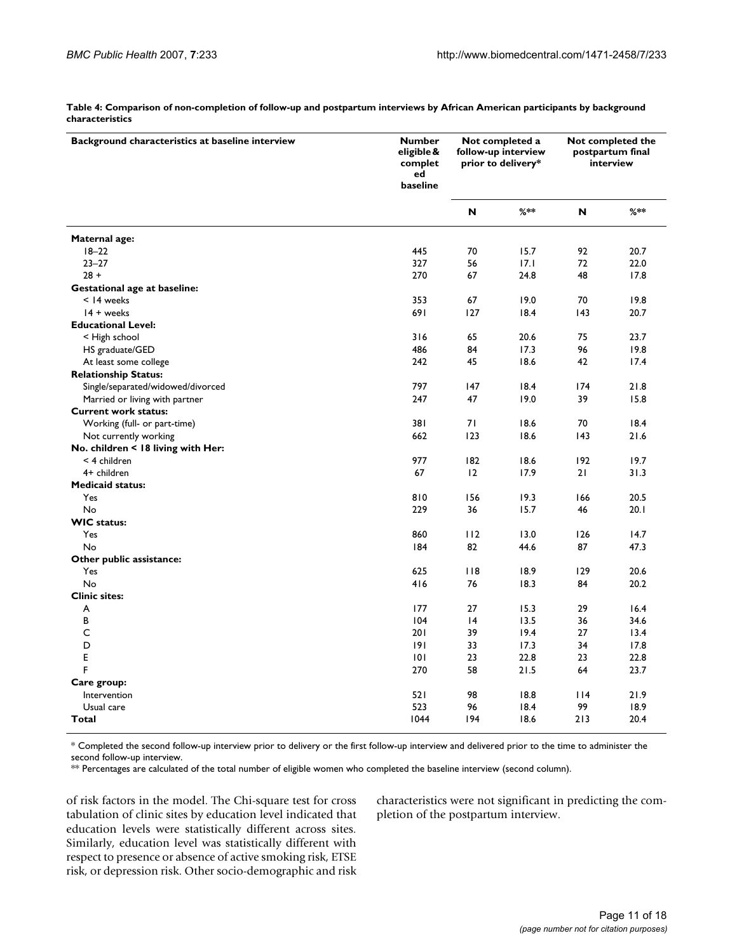**Background characteristics at baseline interview Number eligible & complet ed baseline Not completed a follow-up interview prior to delivery\* Not completed the postpartum final interview N %\*\* N %\*\* Maternal age:** 18–22 445 70 15.7 92 20.7 23–27 327 56 17.1 72 22.0 28 + 270 67 24.8 48 17.8 **Gestational age at baseline:** < 14 weeks 353 67 19.0 70 19.8 14 + weeks 691 127 18.4 143 20.7 **Educational Level:** < High school 316 65 20.6 75 23.7 HS graduate/GED 19.8 and 19.8 and 19.8 and 19.8 and 19.8 and 19.8 and 19.8 and 19.8 and 19.8 and 19.8 and 19.8 At least some college 242 242 45 18.6 42 17.4 **Relationship Status:** Single/separated/widowed/divorced 797 147 18.4 174 21.8 Married or living with partner 15.8 and the control of the control of the 247 19.0 39 15.8 **Current work status:** Working (full- or part-time) 381 71 18.6 70 18.4 Not currently working **1.6 123** 123 18.6 143 21.6 143 1662 123 18.6 143 11.6 **No. children < 18 living with Her:** < 4 children 977 182 18.6 192 19.7 4+ children 12 17.9 21 31.3 **Medicaid status:** Yes 810 156 19.3 166 20.5 No 229 36 15.7 46 20.1 **WIC status:** Yes 860 112 13.0 126 14.7 No 184 82 44.6 87 47.3 **Other public assistance:** Yes 625 118 18.9 129 20.6 No 416 76 18.3 84 20.2 **Clinic sites:** A 177 27 15.3 29 16.4 B 104 14 13.5 36 34.6 C 201 39 19.4 27 13.4 D 191 33 17.3 34 17.8 E 101 23 22.8 23 22.8 F 270 58 21.5 64 23.7 **Care group:** Intervention 521 98 18.8 114 21.9 Usual care 523 96 18.4 99 18.9 **Total** 1044 194 18.6 213 20.4

**Table 4: Comparison of non-completion of follow-up and postpartum interviews by African American participants by background characteristics**

\* Completed the second follow-up interview prior to delivery or the first follow-up interview and delivered prior to the time to administer the second follow-up interview.

\*\* Percentages are calculated of the total number of eligible women who completed the baseline interview (second column).

of risk factors in the model. The Chi-square test for cross tabulation of clinic sites by education level indicated that education levels were statistically different across sites. Similarly, education level was statistically different with respect to presence or absence of active smoking risk, ETSE risk, or depression risk. Other socio-demographic and risk characteristics were not significant in predicting the completion of the postpartum interview.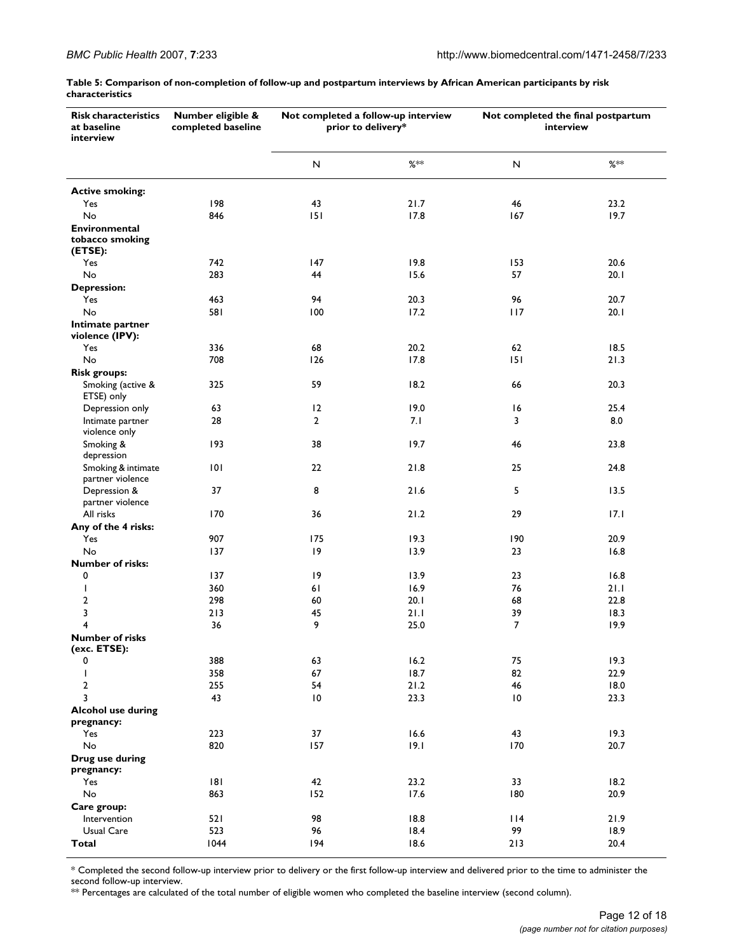**Table 5: Comparison of non-completion of follow-up and postpartum interviews by African American participants by risk characteristics**

| <b>Risk characteristics</b><br>at baseline<br>interview | Number eligible &<br>completed baseline | Not completed a follow-up interview<br>prior to delivery* |        | Not completed the final postpartum<br>interview |      |
|---------------------------------------------------------|-----------------------------------------|-----------------------------------------------------------|--------|-------------------------------------------------|------|
|                                                         |                                         | $\mathsf{N}$                                              | %**    | $\sf N$                                         | %**  |
|                                                         |                                         |                                                           |        |                                                 |      |
| <b>Active smoking:</b>                                  |                                         |                                                           |        |                                                 |      |
| Yes                                                     | 198                                     | 43                                                        | 21.7   | 46                                              | 23.2 |
| No                                                      | 846                                     | 151                                                       | 17.8   | 167                                             | 19.7 |
| <b>Environmental</b><br>tobacco smoking<br>(ETSE):      |                                         |                                                           |        |                                                 |      |
| Yes                                                     | 742                                     | 147                                                       | 19.8   | 153                                             | 20.6 |
| No                                                      | 283                                     | 44                                                        | 15.6   | 57                                              | 20.1 |
| <b>Depression:</b>                                      |                                         |                                                           |        |                                                 |      |
| Yes                                                     | 463                                     | 94                                                        | 20.3   | 96                                              | 20.7 |
| No<br>Intimate partner                                  | 581                                     | 100                                                       | 17.2   | 117                                             | 20.1 |
| violence (IPV):                                         |                                         |                                                           |        |                                                 |      |
| Yes                                                     | 336                                     | 68                                                        | 20.2   | 62                                              | 18.5 |
| No                                                      | 708                                     | 126                                                       | 17.8   | 151                                             | 21.3 |
| <b>Risk groups:</b>                                     |                                         |                                                           |        |                                                 |      |
| Smoking (active &<br>ETSE) only                         | 325                                     | 59                                                        | 18.2   | 66                                              | 20.3 |
| Depression only                                         | 63                                      | 12                                                        | 19.0   | 16                                              | 25.4 |
| Intimate partner<br>violence only                       | 28                                      | $\overline{2}$                                            | 7.1    | 3                                               | 8.0  |
| Smoking &<br>depression                                 | 193                                     | 38                                                        | 19.7   | 46                                              | 23.8 |
| Smoking & intimate<br>partner violence                  | 101                                     | 22                                                        | 21.8   | 25                                              | 24.8 |
| Depression &<br>partner violence                        | 37                                      | 8                                                         | 21.6   | 5                                               | 13.5 |
| All risks                                               | 170                                     | 36                                                        | 21.2   | 29                                              | 17.1 |
| Any of the 4 risks:                                     |                                         |                                                           |        |                                                 |      |
| Yes<br>No                                               | 907                                     | 175                                                       | 19.3   | 190                                             | 20.9 |
| <b>Number of risks:</b>                                 | 137                                     | 9                                                         | 13.9   | 23                                              | 16.8 |
| 0                                                       | 137                                     | 9                                                         | 13.9   | 23                                              | 16.8 |
| L                                                       | 360                                     | 61                                                        | 16.9   | 76                                              | 21.1 |
| $\overline{\mathbf{c}}$                                 | 298                                     | 60                                                        | 20.1   | 68                                              | 22.8 |
| 3                                                       | 213                                     | 45                                                        | 21.1   | 39                                              | 18.3 |
| $\overline{4}$                                          | 36                                      | 9                                                         | 25.0   | 7                                               | 19.9 |
| <b>Number of risks</b><br>(exc. EISE):                  |                                         |                                                           |        |                                                 |      |
| 0                                                       | 388                                     | 63                                                        | 16.2   | 75                                              | 19.3 |
|                                                         | 358                                     | 67                                                        | 18.7   | 82                                              | 22.9 |
| $\overline{2}$                                          | 255                                     | 54                                                        | $21.2$ | 46                                              | 18.0 |
| 3<br><b>Alcohol use during</b>                          | 43                                      | $\overline{10}$                                           | 23.3   | $\overline{10}$                                 | 23.3 |
| pregnancy:<br>Yes                                       | 223                                     | 37                                                        | 16.6   | 43                                              | 19.3 |
| No                                                      | 820                                     | 157                                                       | 19.1   | 170                                             | 20.7 |
| Drug use during                                         |                                         |                                                           |        |                                                 |      |
| pregnancy:<br>Yes                                       | 8                                       | 42                                                        | 23.2   | 33                                              | 18.2 |
| No                                                      | 863                                     | 152                                                       | 17.6   | 180                                             | 20.9 |
| Care group:                                             |                                         |                                                           |        |                                                 |      |
| Intervention                                            | 521                                     | 98                                                        | 18.8   | 114                                             | 21.9 |
| Usual Care                                              | 523                                     | 96                                                        | 18.4   | 99                                              | 18.9 |
| <b>Total</b>                                            | 1044                                    | 194                                                       | 18.6   | 213                                             | 20.4 |

\* Completed the second follow-up interview prior to delivery or the first follow-up interview and delivered prior to the time to administer the second follow-up interview.

\*\* Percentages are calculated of the total number of eligible women who completed the baseline interview (second column).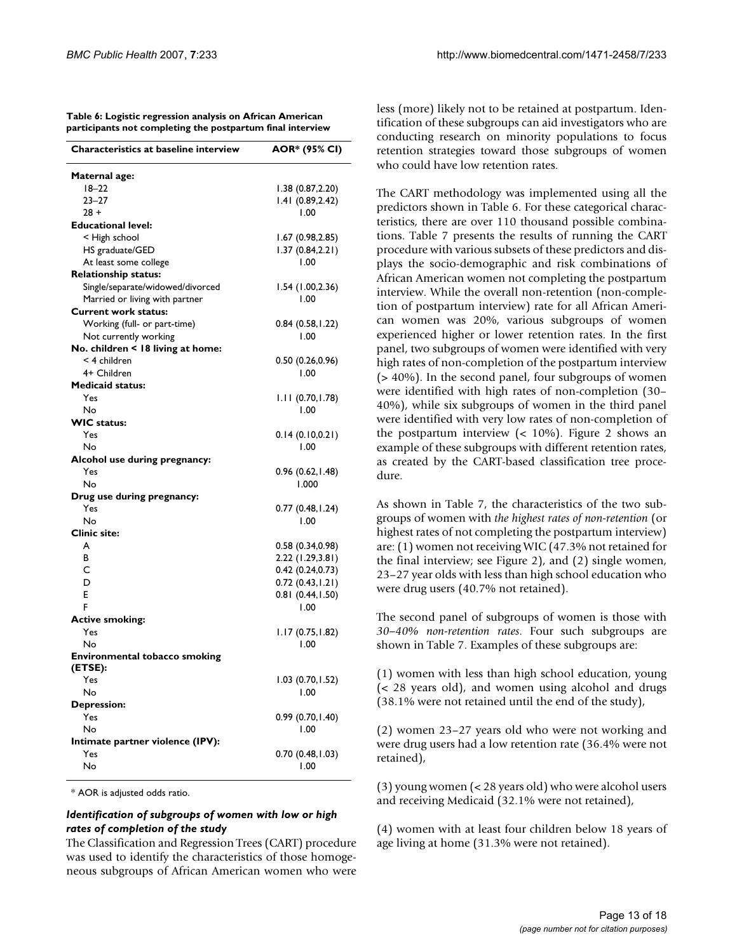**Table 6: Logistic regression analysis on African American participants not completing the postpartum final interview**

| Characteristics at baseline interview           | AOR* (95% CI)         |
|-------------------------------------------------|-----------------------|
| Maternal age:                                   |                       |
| $18 - 22$                                       | 1.38(0.87, 2.20)      |
| $23 - 27$                                       | 1.41 (0.89, 2.42)     |
| $28 +$                                          | 1.00                  |
| <b>Educational level:</b>                       |                       |
| < High school                                   | 1.67 (0.98,2.85)      |
| HS graduate/GED                                 | 1.37(0.84, 2.21)      |
| At least some college                           | 1.00                  |
| <b>Relationship status:</b>                     |                       |
| Single/separate/widowed/divorced                | 1.54 (1.00, 2.36)     |
| Married or living with partner                  | 1.00                  |
| <b>Current work status:</b>                     |                       |
| Working (full- or part-time)                    | $0.84$ (0.58, 1.22)   |
| Not currently working                           | 1.00                  |
| No. children < 18 living at home:               |                       |
| < 4 children                                    | 0.50(0.26, 0.96)      |
| 4+ Children                                     | 1.00                  |
| <b>Medicaid status:</b>                         |                       |
| Yes                                             | 1.11(0.70, 1.78)      |
| No                                              | 1.00                  |
| <b>WIC</b> status:                              |                       |
| Yes                                             | 0.14(0.10, 0.21)      |
| No                                              | 1.00                  |
| Alcohol use during pregnancy:                   |                       |
| Yes                                             | $0.96$ $(0.62, 1.48)$ |
| No                                              | 1.000                 |
| Drug use during pregnancy:                      |                       |
| Yes                                             | 0.77(0.48, 1.24)      |
| No                                              | 1.00                  |
| <b>Clinic site:</b>                             |                       |
| A                                               | 0.58(0.34, 0.98)      |
| в                                               | 2.22 (1.29,3.81)      |
| C                                               | 0.42(0.24, 0.73)      |
| D                                               | 0.72(0.43, 1.21)      |
| E                                               | 0.81(0.44, 1.50)      |
| F                                               | 1.00                  |
|                                                 |                       |
| <b>Active smoking:</b><br>Yes                   |                       |
|                                                 | 1.17(0.75, 1.82)      |
| No                                              | 1.00                  |
| <b>Environmental tobacco smoking</b><br>(ETSE): |                       |
| Yes                                             | 1.03 (0.70,1.52)      |
| No                                              | 1.00                  |
| <b>Depression:</b>                              |                       |
| Yes                                             | 0.99(0.70, 1.40)      |
| No                                              | 1.00                  |
| Intimate partner violence (IPV):                |                       |
| Yes                                             | 0.70(0.48, 1.03)      |
| No                                              | 1.00                  |
|                                                 |                       |

\* AOR is adjusted odds ratio.

#### *Identification of subgroups of women with low or high rates of completion of the study*

The Classification and Regression Trees (CART) procedure was used to identify the characteristics of those homogeneous subgroups of African American women who were less (more) likely not to be retained at postpartum. Identification of these subgroups can aid investigators who are conducting research on minority populations to focus retention strategies toward those subgroups of women who could have low retention rates.

The CART methodology was implemented using all the predictors shown in Table 6. For these categorical characteristics, there are over 110 thousand possible combinations. Table 7 presents the results of running the CART procedure with various subsets of these predictors and displays the socio-demographic and risk combinations of African American women not completing the postpartum interview. While the overall non-retention (non-completion of postpartum interview) rate for all African American women was 20%, various subgroups of women experienced higher or lower retention rates. In the first panel, two subgroups of women were identified with very high rates of non-completion of the postpartum interview (> 40%). In the second panel, four subgroups of women were identified with high rates of non-completion (30– 40%), while six subgroups of women in the third panel were identified with very low rates of non-completion of the postpartum interview (< 10%). Figure 2 shows an example of these subgroups with different retention rates, as created by the CART-based classification tree procedure.

As shown in Table 7, the characteristics of the two subgroups of women with *the highest rates of non-retention* (or highest rates of not completing the postpartum interview) are: (1) women not receiving WIC (47.3% not retained for the final interview; see Figure 2), and (2) single women, 23–27 year olds with less than high school education who were drug users (40.7% not retained).

The second panel of subgroups of women is those with *30–40% non-retention rates*. Four such subgroups are shown in Table 7. Examples of these subgroups are:

(1) women with less than high school education, young (< 28 years old), and women using alcohol and drugs (38.1% were not retained until the end of the study),

(2) women 23–27 years old who were not working and were drug users had a low retention rate (36.4% were not retained),

(3) young women (< 28 years old) who were alcohol users and receiving Medicaid (32.1% were not retained),

(4) women with at least four children below 18 years of age living at home (31.3% were not retained).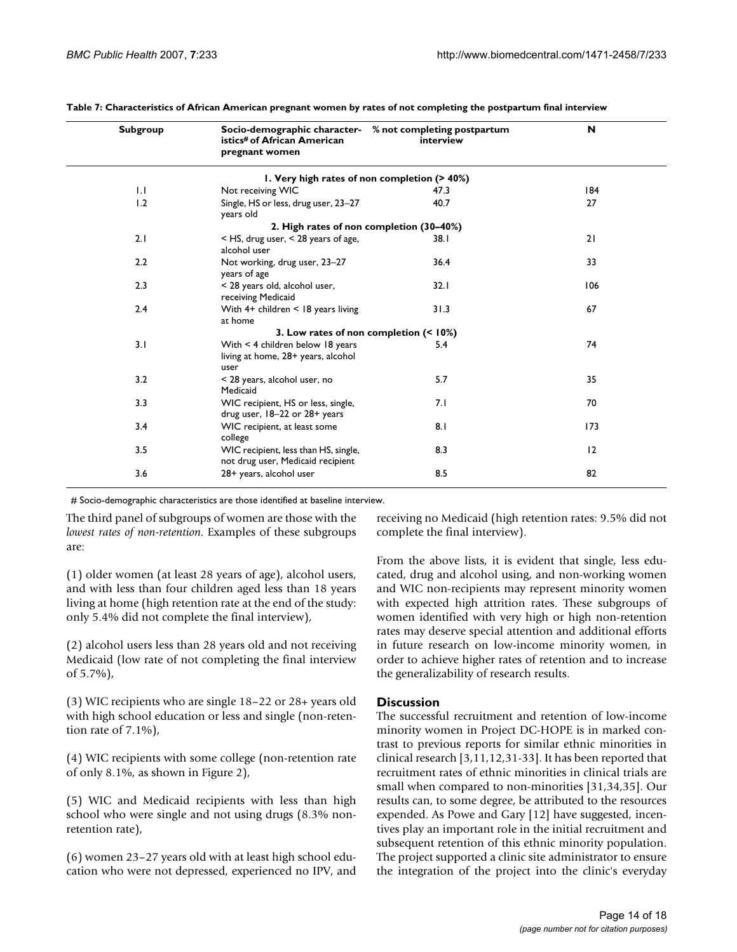| Subgroup                               | Socio-demographic character-<br>istics# of African American<br>pregnant women  | % not completing postpartum<br>interview     | N   |  |  |  |
|----------------------------------------|--------------------------------------------------------------------------------|----------------------------------------------|-----|--|--|--|
|                                        |                                                                                | I. Very high rates of non completion (> 40%) |     |  |  |  |
| 1.1                                    | Not receiving WIC                                                              | 47.3                                         | 184 |  |  |  |
| 1.2                                    | Single, HS or less, drug user, 23-27<br>years old                              | 40.7                                         | 27  |  |  |  |
|                                        |                                                                                | 2. High rates of non completion (30-40%)     |     |  |  |  |
| 2.1                                    | < HS, drug user, < 28 years of age,<br>alcohol user                            | 38.1                                         | 21  |  |  |  |
| 2.2                                    | Not working, drug user, 23-27<br>years of age                                  | 36.4                                         | 33  |  |  |  |
| 2.3                                    | < 28 years old, alcohol user,<br>receiving Medicaid                            | 32.1                                         | 106 |  |  |  |
| 2.4                                    | With 4+ children < 18 years living<br>at home                                  | 31.3                                         | 67  |  |  |  |
| 3. Low rates of non completion (< 10%) |                                                                                |                                              |     |  |  |  |
| 3.1                                    | With < 4 children below 18 years<br>living at home, 28+ years, alcohol<br>user | 5.4                                          | 74  |  |  |  |
| 3.2                                    | < 28 years, alcohol user, no<br>Medicaid                                       | 5.7                                          | 35  |  |  |  |
| 3.3                                    | WIC recipient, HS or less, single,<br>drug user, 18-22 or 28+ years            | 7.1                                          | 70  |  |  |  |
| 3.4                                    | WIC recipient, at least some<br>college                                        | 8.1                                          | 173 |  |  |  |
| 3.5                                    | WIC recipient, less than HS, single,<br>not drug user, Medicaid recipient      | 8.3                                          | 12  |  |  |  |
| 3.6                                    | 28+ years, alcohol user                                                        | 8.5                                          | 82  |  |  |  |

**Table 7: Characteristics of African American pregnant women by rates of not completing the postpartum final interview**

# Socio-demographic characteristics are those identified at baseline interview.

The third panel of subgroups of women are those with the *lowest rates of non-retention*. Examples of these subgroups are:

(1) older women (at least 28 years of age), alcohol users, and with less than four children aged less than 18 years living at home (high retention rate at the end of the study: only 5.4% did not complete the final interview),

(2) alcohol users less than 28 years old and not receiving Medicaid (low rate of not completing the final interview of 5.7%),

(3) WIC recipients who are single 18–22 or 28+ years old with high school education or less and single (non-retention rate of  $7.1\%$ ),

(4) WIC recipients with some college (non-retention rate of only 8.1%, as shown in Figure 2),

(5) WIC and Medicaid recipients with less than high school who were single and not using drugs (8.3% nonretention rate),

(6) women 23–27 years old with at least high school education who were not depressed, experienced no IPV, and receiving no Medicaid (high retention rates: 9.5% did not complete the final interview).

From the above lists, it is evident that single, less educated, drug and alcohol using, and non-working women and WIC non-recipients may represent minority women with expected high attrition rates. These subgroups of women identified with very high or high non-retention rates may deserve special attention and additional efforts in future research on low-income minority women, in order to achieve higher rates of retention and to increase the generalizability of research results.

#### **Discussion**

The successful recruitment and retention of low-income minority women in Project DC-HOPE is in marked contrast to previous reports for similar ethnic minorities in clinical research [3,11,12,31-33]. It has been reported that recruitment rates of ethnic minorities in clinical trials are small when compared to non-minorities [31,34,35]. Our results can, to some degree, be attributed to the resources expended. As Powe and Gary [12] have suggested, incentives play an important role in the initial recruitment and subsequent retention of this ethnic minority population. The project supported a clinic site administrator to ensure the integration of the project into the clinic's everyday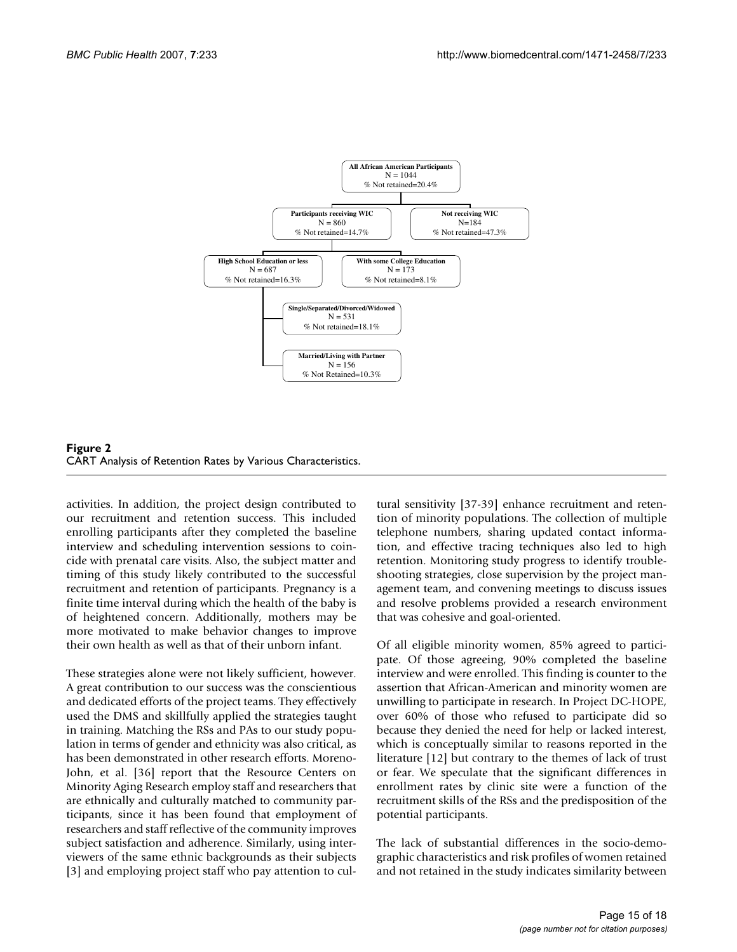

Figure 2 CART Analysis of Retention Rates by Various Characteristics.

activities. In addition, the project design contributed to our recruitment and retention success. This included enrolling participants after they completed the baseline interview and scheduling intervention sessions to coincide with prenatal care visits. Also, the subject matter and timing of this study likely contributed to the successful recruitment and retention of participants. Pregnancy is a finite time interval during which the health of the baby is of heightened concern. Additionally, mothers may be more motivated to make behavior changes to improve their own health as well as that of their unborn infant.

These strategies alone were not likely sufficient, however. A great contribution to our success was the conscientious and dedicated efforts of the project teams. They effectively used the DMS and skillfully applied the strategies taught in training. Matching the RSs and PAs to our study population in terms of gender and ethnicity was also critical, as has been demonstrated in other research efforts. Moreno-John, et al. [36] report that the Resource Centers on Minority Aging Research employ staff and researchers that are ethnically and culturally matched to community participants, since it has been found that employment of researchers and staff reflective of the community improves subject satisfaction and adherence. Similarly, using interviewers of the same ethnic backgrounds as their subjects [3] and employing project staff who pay attention to cultural sensitivity [37-39] enhance recruitment and retention of minority populations. The collection of multiple telephone numbers, sharing updated contact information, and effective tracing techniques also led to high retention. Monitoring study progress to identify troubleshooting strategies, close supervision by the project management team, and convening meetings to discuss issues and resolve problems provided a research environment that was cohesive and goal-oriented.

Of all eligible minority women, 85% agreed to participate. Of those agreeing, 90% completed the baseline interview and were enrolled. This finding is counter to the assertion that African-American and minority women are unwilling to participate in research. In Project DC-HOPE, over 60% of those who refused to participate did so because they denied the need for help or lacked interest, which is conceptually similar to reasons reported in the literature [12] but contrary to the themes of lack of trust or fear. We speculate that the significant differences in enrollment rates by clinic site were a function of the recruitment skills of the RSs and the predisposition of the potential participants.

The lack of substantial differences in the socio-demographic characteristics and risk profiles of women retained and not retained in the study indicates similarity between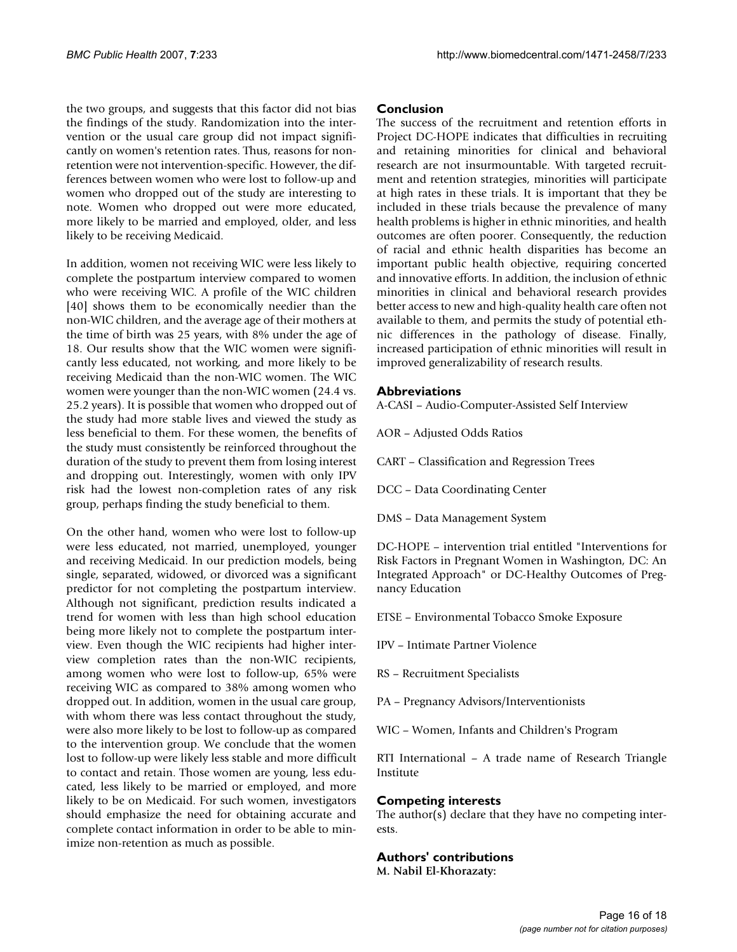the two groups, and suggests that this factor did not bias the findings of the study. Randomization into the intervention or the usual care group did not impact significantly on women's retention rates. Thus, reasons for nonretention were not intervention-specific. However, the differences between women who were lost to follow-up and women who dropped out of the study are interesting to note. Women who dropped out were more educated, more likely to be married and employed, older, and less likely to be receiving Medicaid.

In addition, women not receiving WIC were less likely to complete the postpartum interview compared to women who were receiving WIC. A profile of the WIC children [40] shows them to be economically needier than the non-WIC children, and the average age of their mothers at the time of birth was 25 years, with 8% under the age of 18. Our results show that the WIC women were significantly less educated, not working, and more likely to be receiving Medicaid than the non-WIC women. The WIC women were younger than the non-WIC women (24.4 vs. 25.2 years). It is possible that women who dropped out of the study had more stable lives and viewed the study as less beneficial to them. For these women, the benefits of the study must consistently be reinforced throughout the duration of the study to prevent them from losing interest and dropping out. Interestingly, women with only IPV risk had the lowest non-completion rates of any risk group, perhaps finding the study beneficial to them.

On the other hand, women who were lost to follow-up were less educated, not married, unemployed, younger and receiving Medicaid. In our prediction models, being single, separated, widowed, or divorced was a significant predictor for not completing the postpartum interview. Although not significant, prediction results indicated a trend for women with less than high school education being more likely not to complete the postpartum interview. Even though the WIC recipients had higher interview completion rates than the non-WIC recipients, among women who were lost to follow-up, 65% were receiving WIC as compared to 38% among women who dropped out. In addition, women in the usual care group, with whom there was less contact throughout the study, were also more likely to be lost to follow-up as compared to the intervention group. We conclude that the women lost to follow-up were likely less stable and more difficult to contact and retain. Those women are young, less educated, less likely to be married or employed, and more likely to be on Medicaid. For such women, investigators should emphasize the need for obtaining accurate and complete contact information in order to be able to minimize non-retention as much as possible.

## **Conclusion**

The success of the recruitment and retention efforts in Project DC-HOPE indicates that difficulties in recruiting and retaining minorities for clinical and behavioral research are not insurmountable. With targeted recruitment and retention strategies, minorities will participate at high rates in these trials. It is important that they be included in these trials because the prevalence of many health problems is higher in ethnic minorities, and health outcomes are often poorer. Consequently, the reduction of racial and ethnic health disparities has become an important public health objective, requiring concerted and innovative efforts. In addition, the inclusion of ethnic minorities in clinical and behavioral research provides better access to new and high-quality health care often not available to them, and permits the study of potential ethnic differences in the pathology of disease. Finally, increased participation of ethnic minorities will result in improved generalizability of research results.

#### **Abbreviations**

A-CASI – Audio-Computer-Assisted Self Interview

- AOR Adjusted Odds Ratios
- CART Classification and Regression Trees
- DCC Data Coordinating Center
- DMS Data Management System

DC-HOPE – intervention trial entitled "Interventions for Risk Factors in Pregnant Women in Washington, DC: An Integrated Approach" or DC-Healthy Outcomes of Pregnancy Education

- ETSE Environmental Tobacco Smoke Exposure
- IPV Intimate Partner Violence
- RS Recruitment Specialists
- PA Pregnancy Advisors/Interventionists
- WIC Women, Infants and Children's Program

RTI International – A trade name of Research Triangle Institute

# **Competing interests**

The author(s) declare that they have no competing interests.

# **Authors' contributions**

**M. Nabil El-Khorazaty:**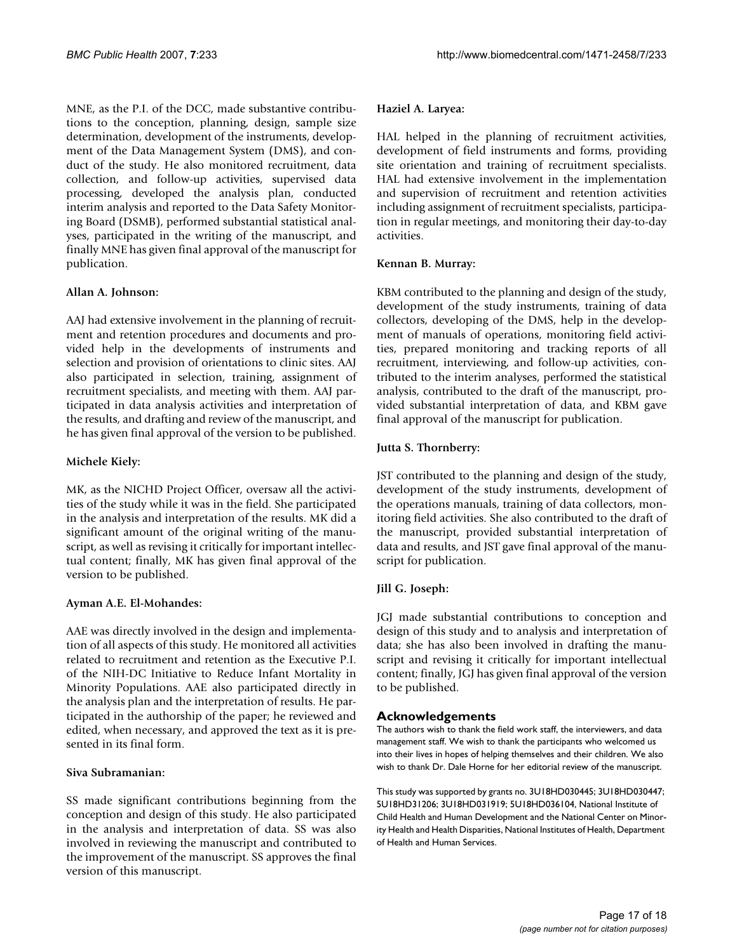MNE, as the P.I. of the DCC, made substantive contributions to the conception, planning, design, sample size determination, development of the instruments, development of the Data Management System (DMS), and conduct of the study. He also monitored recruitment, data collection, and follow-up activities, supervised data processing, developed the analysis plan, conducted interim analysis and reported to the Data Safety Monitoring Board (DSMB), performed substantial statistical analyses, participated in the writing of the manuscript, and finally MNE has given final approval of the manuscript for publication.

# **Allan A. Johnson:**

AAJ had extensive involvement in the planning of recruitment and retention procedures and documents and provided help in the developments of instruments and selection and provision of orientations to clinic sites. AAJ also participated in selection, training, assignment of recruitment specialists, and meeting with them. AAJ participated in data analysis activities and interpretation of the results, and drafting and review of the manuscript, and he has given final approval of the version to be published.

# **Michele Kiely:**

MK, as the NICHD Project Officer, oversaw all the activities of the study while it was in the field. She participated in the analysis and interpretation of the results. MK did a significant amount of the original writing of the manuscript, as well as revising it critically for important intellectual content; finally, MK has given final approval of the version to be published.

#### **Ayman A.E. El-Mohandes:**

AAE was directly involved in the design and implementation of all aspects of this study. He monitored all activities related to recruitment and retention as the Executive P.I. of the NIH-DC Initiative to Reduce Infant Mortality in Minority Populations. AAE also participated directly in the analysis plan and the interpretation of results. He participated in the authorship of the paper; he reviewed and edited, when necessary, and approved the text as it is presented in its final form.

#### **Siva Subramanian:**

SS made significant contributions beginning from the conception and design of this study. He also participated in the analysis and interpretation of data. SS was also involved in reviewing the manuscript and contributed to the improvement of the manuscript. SS approves the final version of this manuscript.

# **Haziel A. Laryea:**

HAL helped in the planning of recruitment activities, development of field instruments and forms, providing site orientation and training of recruitment specialists. HAL had extensive involvement in the implementation and supervision of recruitment and retention activities including assignment of recruitment specialists, participation in regular meetings, and monitoring their day-to-day activities.

#### **Kennan B. Murray:**

KBM contributed to the planning and design of the study, development of the study instruments, training of data collectors, developing of the DMS, help in the development of manuals of operations, monitoring field activities, prepared monitoring and tracking reports of all recruitment, interviewing, and follow-up activities, contributed to the interim analyses, performed the statistical analysis, contributed to the draft of the manuscript, provided substantial interpretation of data, and KBM gave final approval of the manuscript for publication.

# **Jutta S. Thornberry:**

JST contributed to the planning and design of the study, development of the study instruments, development of the operations manuals, training of data collectors, monitoring field activities. She also contributed to the draft of the manuscript, provided substantial interpretation of data and results, and JST gave final approval of the manuscript for publication.

# **Jill G. Joseph:**

JGJ made substantial contributions to conception and design of this study and to analysis and interpretation of data; she has also been involved in drafting the manuscript and revising it critically for important intellectual content; finally, JGJ has given final approval of the version to be published.

#### **Acknowledgements**

The authors wish to thank the field work staff, the interviewers, and data management staff. We wish to thank the participants who welcomed us into their lives in hopes of helping themselves and their children. We also wish to thank Dr. Dale Horne for her editorial review of the manuscript.

This study was supported by grants no. 3U18HD030445; 3U18HD030447; 5U18HD31206; 3U18HD031919; 5U18HD036104, National Institute of Child Health and Human Development and the National Center on Minority Health and Health Disparities, National Institutes of Health, Department of Health and Human Services.